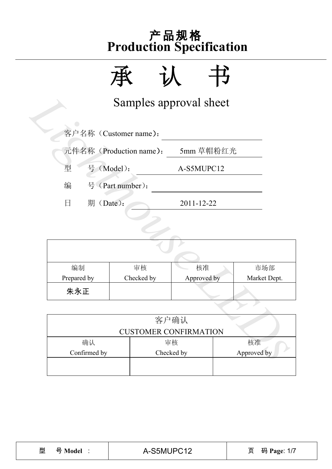

|                 | Samples approval sheet  |                              |             |              |
|-----------------|-------------------------|------------------------------|-------------|--------------|
|                 | 客户名称 (Customer name):   |                              |             |              |
|                 | 元件名称 (Production name): | 5mm 草帽粉红光                    |             |              |
| 号 (Model):<br>型 |                         | A-S5MUPC12                   |             |              |
| 编               | 号 (Part number):        |                              |             |              |
| 日<br>期 (Date):  |                         | 2011-12-22                   |             |              |
|                 |                         |                              |             |              |
|                 |                         |                              |             |              |
|                 |                         |                              |             |              |
| 编制              | 审核                      | 核准                           |             | 市场部          |
| Prepared by     | Checked by              | Approved by                  |             | Market Dept. |
| 朱永正             |                         |                              |             |              |
|                 |                         |                              |             |              |
|                 |                         | 客户确认                         |             |              |
|                 |                         | <b>CUSTOMER CONFIRMATION</b> |             |              |
| 确认              |                         | 审核                           |             | 核准           |
| Confirmed by    |                         | Checked by                   | Approved by |              |

| 编制          | 审核         | 核准          | 市场部          |  |  |  |
|-------------|------------|-------------|--------------|--|--|--|
| Prepared by | Checked by | Approved by | Market Dept. |  |  |  |
| 朱永正         |            |             |              |  |  |  |

|              | <b>CUSTOMER CONFIRMATION</b> |    |
|--------------|------------------------------|----|
| 确认           | 审核                           | 核准 |
| Confirmed by | Approved by                  |    |
|              |                              |    |
|              |                              |    |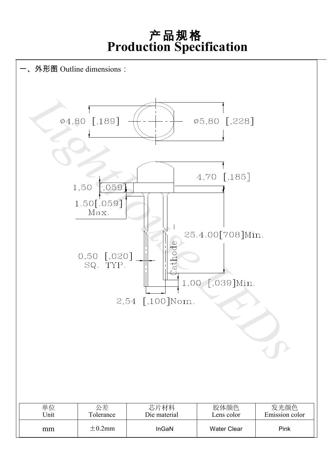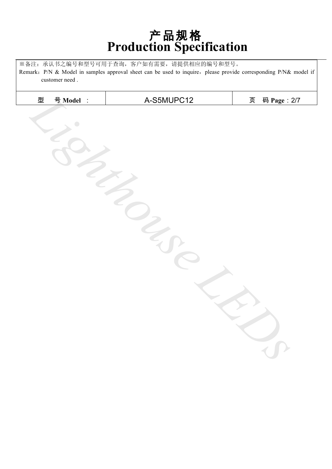※备注:承认书之编号和型号可用于查询,客户如有需要,请提供相应的编号和型号。 Remark: P/N & Model in samples approval sheet can be used to inquire, please provide corresponding P/N& model if customer need .

| 号 Model :<br>型 | A-S5MUPC12 | 码 Page: 2/7<br>页 |
|----------------|------------|------------------|
|                |            |                  |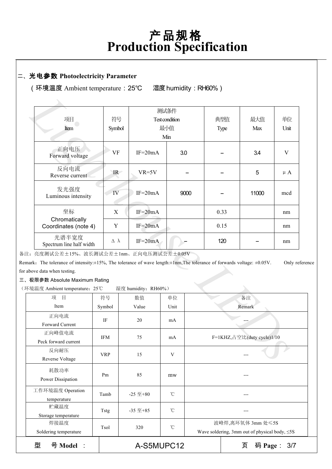#### 二、光电参数 **Photoelectricity Parameter**

(环境温度 Ambient temperature:25℃ 湿度humidity:RH60%)

| 项目                                                                                                                                        | 符号                 |                     | 测试条件<br>Test condition |      | 典型值    | 最大值                        | 单位        |
|-------------------------------------------------------------------------------------------------------------------------------------------|--------------------|---------------------|------------------------|------|--------|----------------------------|-----------|
|                                                                                                                                           |                    |                     |                        |      |        |                            |           |
| Item                                                                                                                                      | Symbol             |                     | 最小值                    |      | Type   | Max                        | Unit      |
|                                                                                                                                           |                    |                     | Min                    |      |        |                            |           |
| 正向电压<br>Forward voltage                                                                                                                   | VF                 | $IF=20mA$           |                        | 3.0  |        | 3.4                        | V         |
| 反向电流<br>Reverse current                                                                                                                   | IR                 | $VR=5V$             |                        |      |        | 5                          | $\mu A$   |
| 发光强度<br>Luminous intensity                                                                                                                | IV                 | $IF=20mA$           |                        | 9000 |        | 11000                      | mcd       |
| 坐标                                                                                                                                        | X                  | $IF=20mA$           |                        |      | 0.33   |                            | nm        |
| Chromatically<br>Coordinates (note 4)                                                                                                     | Y                  | $IF = 20mA$         |                        |      | 0.15   |                            | nm        |
| 光谱半宽度<br>Spectrum line half width                                                                                                         | $\Delta$ $\lambda$ | $IF=20mA$           |                        |      | 120    |                            | nm        |
| :: 亮度测试公差±15%、波长测试公差±1nm、正向电压测试公差±0.05V                                                                                                   |                    |                     |                        |      |        |                            |           |
| aark. The tolerance of intensity: $\pm 15\%$ , The tolerance of wave length: $\pm 1$ nm, The tolerance of forwards voltage: $\pm 0.05$ V. |                    |                     |                        |      |        |                            | Only refe |
| above data when testing.                                                                                                                  |                    |                     |                        |      |        |                            |           |
| 极限参数 Absolute Maximum Rating                                                                                                              |                    |                     |                        |      |        |                            |           |
| 「境温度 Ambient temperature: 25℃                                                                                                             |                    | 湿度 humidity: RH60%) |                        |      |        |                            |           |
| 项<br>目                                                                                                                                    | 符号                 | 数值                  | 单位                     |      |        | 备注                         |           |
| Item                                                                                                                                      | Symbol             | Value               | Unit                   |      | Remark |                            |           |
| 正向电流                                                                                                                                      |                    |                     |                        |      |        |                            |           |
| Forward Current                                                                                                                           | IF                 | 20                  | mA                     |      |        |                            |           |
| 正向峰值电流                                                                                                                                    |                    |                     |                        |      |        |                            |           |
| Peck forward current                                                                                                                      | <b>IFM</b>         | 75                  | mA                     |      |        | F=1KHZ,占空比(duty cycle)1/10 |           |
| 反向耐压                                                                                                                                      |                    |                     |                        |      |        |                            |           |
| Reverse Voltage                                                                                                                           | <b>VRP</b>         | 15                  | V                      |      |        |                            |           |
|                                                                                                                                           |                    |                     |                        |      |        |                            |           |

备注:亮度测试公差±15%、波长测试公差±1nm、正向电压测试公差±0.05V

Remark: The tolerance of intensity:±15%, The tolerance of wave length:±1nm,The tolerance of forwards voltage: ±0.05V. Only reference for above data when testing.

三、极限参数 Absolute Maximum Rating

(环境温度 Ambient temperature:25℃ 湿度 humidity:RH60%)

| 型<br>号 Model :<br>A-S5MUPC12    |            |                  |                 | 页<br>码 Page :<br>3/7                                                     |
|---------------------------------|------------|------------------|-----------------|--------------------------------------------------------------------------|
| 焊接温度<br>Soldering temperature   | Tsol       | 320              | $\rm ^{\circ}C$ | 波峰焊,离环氧体 3mm 处≤5S<br>Wave soldering, 3mm out of physical body, $\leq$ 5S |
| 贮藏温度<br>Storage temperature     | Tstg       | $-35 \n  \pm 85$ | $\rm ^{\circ}C$ | ---                                                                      |
| 工作环境温度 Operation<br>temperature | Tamb       | $-25 \n  \pm 80$ | $^{\circ}$ C    |                                                                          |
| 耗散功率<br>Power Dissipation       | Pm         | 85               | mw              |                                                                          |
| 反向耐压<br>Reverse Voltage         | <b>VRP</b> | 15               | V               |                                                                          |
| 正向峰值电流<br>Peck forward current  | IFM        | 75               | mA              | F=1KHZ, 占空比(duty cycle)1/10                                              |
| 正向电流<br>Forward Current         | IF         | 20               | mA              |                                                                          |
| Item                            | Symbol     | Value            | Unit            | Remark                                                                   |
| 目<br>项                          | 符号         | 数值               | 单位              | 备注                                                                       |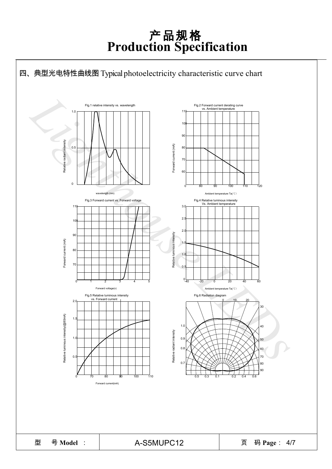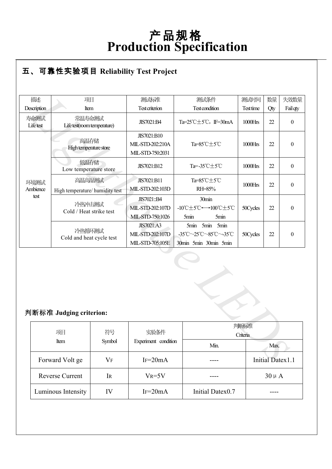#### ● **R** 五、可靠性实验项目 **Reliability Test Project**

| 描述                      | 项目                                        |           | 测试标准                                                      | 测试条件                                                                | 测试时间      | 数量                      | 失效数量             |
|-------------------------|-------------------------------------------|-----------|-----------------------------------------------------------|---------------------------------------------------------------------|-----------|-------------------------|------------------|
| Description             | Item                                      |           | <b>Test criterion</b>                                     | <b>Test condition</b>                                               | Test time | Qty                     | Fail qty         |
| 寿命测试<br>Lifetest        | 常温寿命测试<br>Life test(room temperature)     |           | JIS7021:B4                                                | Ta= $25^{\circ}$ C $\pm$ 5 $^{\circ}$ C, IF=30mA                    | 1000Hrs   | 22                      | $\boldsymbol{0}$ |
|                         | 高温存储<br>High temperature store            |           | JIS7021:B10<br>MIL-STD-202:210A<br>MIL-STD-750:2031       | Ta=85°C±5°C                                                         | 1000Hrs   | 22                      | $\boldsymbol{0}$ |
|                         | 低温存储<br>Low temperature store             |           | JIS7021:B12                                               | Ta=-35°C±5°C                                                        | 1000Hrs   | 22                      | $\mathbf{0}$     |
| 环境测试<br>Ambience        | 高温高湿测试<br>High temperature/ humidity test |           | JIS7021:B11<br>MIL-STD-202:103D                           | Ta=85°C±5°C<br>RH=85%                                               | 1000Hrs   | 22                      | $\boldsymbol{0}$ |
| test                    | 冷热冲击测试<br>Cold / Heat strike test         |           | JIS7021::B4<br>MIL-STD-202:107D<br>MIL-STD-750:1026       | 30min<br>-10℃±5℃←→100℃±5℃<br>5min<br>5min                           | 50Cycles  | 22                      | $\boldsymbol{0}$ |
|                         | 冷热循环测试<br>Cold and heat cycle test        |           | <b>JIS7021:A3</b><br>MIL-STD-202:107D<br>MIL-STD-705:105E | 5min 5min<br>5min<br>-35°C~25°C~85°C~-35°C<br>30min 5min 30min 5min | 50Cycles  | 22                      | $\boldsymbol{0}$ |
| 判断标准 Judging criterion: |                                           |           |                                                           |                                                                     |           |                         |                  |
|                         | 项目                                        | 符号        | 实验条件                                                      | 判断标准<br>Criteria                                                    |           |                         |                  |
|                         | Item                                      | Symbol    | Experiment condition                                      | Min.                                                                | Max.      |                         |                  |
|                         | Forward Volt ge                           | <b>VF</b> | $IF=20mA$                                                 |                                                                     |           | <b>Initial Datex1.1</b> |                  |

#### 判断标准 **Judging criterion:**

| 项目                     | 符号        | 实验条件                 | 判断标准             |                  |
|------------------------|-----------|----------------------|------------------|------------------|
| Item                   | Symbol    | Experiment condition | Criteria         |                  |
|                        |           |                      | Min.             | Max.             |
| Forward Volt ge        | $\rm V_F$ | $IF = 20mA$          |                  | Initial Datex1.1 |
| <b>Reverse Current</b> | <b>IR</b> | $V_R = 5V$           |                  | $30 \mu A$       |
| Luminous Intensity     | IV        | $IF = 20mA$          | Initial Datex0.7 |                  |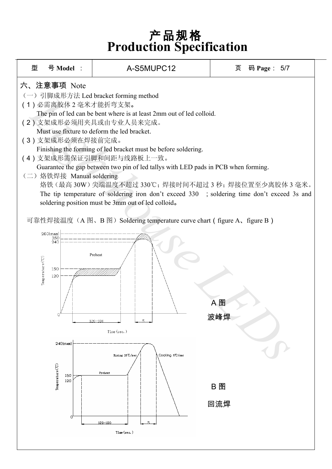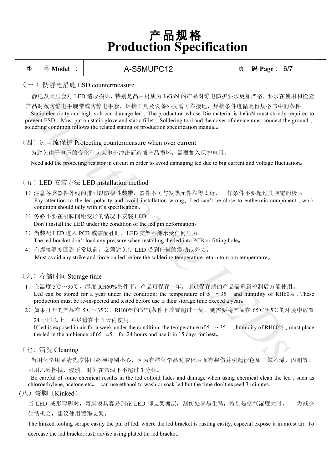| 型                                                                                                                                                                                                                                                                                                                                                                                            | 号 Model :                                                                                                                                                                                                                                                                 | A-S5MUPC12                                                                                                                            | 页 | 码 Page: 6/7 |  |  |  |  |  |  |
|----------------------------------------------------------------------------------------------------------------------------------------------------------------------------------------------------------------------------------------------------------------------------------------------------------------------------------------------------------------------------------------------|---------------------------------------------------------------------------------------------------------------------------------------------------------------------------------------------------------------------------------------------------------------------------|---------------------------------------------------------------------------------------------------------------------------------------|---|-------------|--|--|--|--|--|--|
|                                                                                                                                                                                                                                                                                                                                                                                              | (三) 防静电措施 ESD countermeasure                                                                                                                                                                                                                                              |                                                                                                                                       |   |             |  |  |  |  |  |  |
|                                                                                                                                                                                                                                                                                                                                                                                              |                                                                                                                                                                                                                                                                           | 静电及高压会对 LED 造成损坏, 特别是晶片材质为 InGaN 的产品对静电防护要求更加严格, 要求在使用和检验                                                                             |   |             |  |  |  |  |  |  |
| 产品时戴防静电手腕带或防静电手套,焊接工具及设备外壳需可靠接地,焊接条件遵循此份规格书中的条件。<br>Static electricity and high volt can damage led, The production whose Die material is InGaN must strictly required to<br>prevent ESD, Must put on static glove and static fillet, Soldering tool and the cover of device must connect the ground,<br>soldering condition follows the related stating of production specification manual. |                                                                                                                                                                                                                                                                           |                                                                                                                                       |   |             |  |  |  |  |  |  |
|                                                                                                                                                                                                                                                                                                                                                                                              |                                                                                                                                                                                                                                                                           | (四) 过电流保护 Protecting countermeasure when over current                                                                                 |   |             |  |  |  |  |  |  |
|                                                                                                                                                                                                                                                                                                                                                                                              |                                                                                                                                                                                                                                                                           | 为避免由于电压的变化引起大电流冲击而造成产品损坏,需要加入保护电阻。                                                                                                    |   |             |  |  |  |  |  |  |
|                                                                                                                                                                                                                                                                                                                                                                                              |                                                                                                                                                                                                                                                                           | Need add the protecting resistor in circuit in order to avoid damaging led due to big current and voltage fluctuation.                |   |             |  |  |  |  |  |  |
|                                                                                                                                                                                                                                                                                                                                                                                              |                                                                                                                                                                                                                                                                           |                                                                                                                                       |   |             |  |  |  |  |  |  |
|                                                                                                                                                                                                                                                                                                                                                                                              |                                                                                                                                                                                                                                                                           | (五) LED 安装方法 LED installation method                                                                                                  |   |             |  |  |  |  |  |  |
|                                                                                                                                                                                                                                                                                                                                                                                              | 1) 注意各类器件外线的排列以防极性装错, 器件不可与发热元件靠得太近, 工作条件不要超过其规定的极限。<br>Pay attention to the led polarity and avoid installation wrong. Led can't be close to euthermic component, work<br>condition should tally with it's specification.                                                |                                                                                                                                       |   |             |  |  |  |  |  |  |
|                                                                                                                                                                                                                                                                                                                                                                                              |                                                                                                                                                                                                                                                                           | 2) 务必不要在引脚间距变形的情况下安装 LED。                                                                                                             |   |             |  |  |  |  |  |  |
|                                                                                                                                                                                                                                                                                                                                                                                              |                                                                                                                                                                                                                                                                           | Don't install the LED under the condition of the led pin deformation.                                                                 |   |             |  |  |  |  |  |  |
|                                                                                                                                                                                                                                                                                                                                                                                              |                                                                                                                                                                                                                                                                           | 3) 当装配 LED 进入 PCB 或装配孔时, LED 支架不能承受任何压力。<br>The led bracket don't load any pressure when installing the led into PCB or fitting hole. |   |             |  |  |  |  |  |  |
|                                                                                                                                                                                                                                                                                                                                                                                              |                                                                                                                                                                                                                                                                           | 4) 在焊接温度回到正常以前, 必须避免使 LED 受到任何的震动或外力。                                                                                                 |   |             |  |  |  |  |  |  |
|                                                                                                                                                                                                                                                                                                                                                                                              |                                                                                                                                                                                                                                                                           | Must avoid any strike and force on led before the soldering temperature return to room temperature.                                   |   |             |  |  |  |  |  |  |
|                                                                                                                                                                                                                                                                                                                                                                                              |                                                                                                                                                                                                                                                                           |                                                                                                                                       |   |             |  |  |  |  |  |  |
|                                                                                                                                                                                                                                                                                                                                                                                              | (六) 存储时间 Storage time                                                                                                                                                                                                                                                     |                                                                                                                                       |   |             |  |  |  |  |  |  |
|                                                                                                                                                                                                                                                                                                                                                                                              | 1) 在温度 5℃~35℃, 湿度 RH60%条件下, 产品可保存一年。超过保存期的产品需重新检测后方能使用。<br>Led can be stored for a year under the condition: the temperature of $5 \approx 35$ and humidity of RH60%, These<br>production must be re-inspected and tested before use if their storage time exceed a year. |                                                                                                                                       |   |             |  |  |  |  |  |  |
|                                                                                                                                                                                                                                                                                                                                                                                              |                                                                                                                                                                                                                                                                           | 2) 如果打开的产品在 5℃~35℃, RH60%的空气条件下放置超过一周, 则需要将产品在 65℃±5℃的环境中放置                                                                           |   |             |  |  |  |  |  |  |
|                                                                                                                                                                                                                                                                                                                                                                                              |                                                                                                                                                                                                                                                                           | 24 小时以上,并尽量在十五天内使用。                                                                                                                   |   |             |  |  |  |  |  |  |
| If led is exposed in air for a week under the condition: the temperature of $5 \approx 35$ , humidity of RH60%, must place<br>the led in the ambience of 65 $\pm$ 5 for 24 hours and use it in 15 days for best.                                                                                                                                                                             |                                                                                                                                                                                                                                                                           |                                                                                                                                       |   |             |  |  |  |  |  |  |
| (七) 清洗 Cleaning                                                                                                                                                                                                                                                                                                                                                                              |                                                                                                                                                                                                                                                                           |                                                                                                                                       |   |             |  |  |  |  |  |  |
|                                                                                                                                                                                                                                                                                                                                                                                              | 当用化学用品清洗胶体时必须特别小心, 因为有些化学品对胶体表面有损伤并引起褪色如三氯乙烯、丙酮等。                                                                                                                                                                                                                         |                                                                                                                                       |   |             |  |  |  |  |  |  |
| 可用乙醇擦拭、浸渍, 时间在常温下不超过 3 分钟。<br>Be careful of some chemical results in the led colloid fades and damage when using chemical clean the led, such as<br>chloroethylene, acetone etc. can use ethanol to wash or soak led but the time don't exceed 3 minutes.                                                                                                                                    |                                                                                                                                                                                                                                                                           |                                                                                                                                       |   |             |  |  |  |  |  |  |
|                                                                                                                                                                                                                                                                                                                                                                                              | (八) 弯脚 (Kinked)                                                                                                                                                                                                                                                           |                                                                                                                                       |   |             |  |  |  |  |  |  |
|                                                                                                                                                                                                                                                                                                                                                                                              |                                                                                                                                                                                                                                                                           | 当 LED 成形弯脚时,弯脚模具容易刮花 LED 脚支架镀层,刮伤处容易生锈,特别是空气湿度大时。                                                                                     |   | 为减少         |  |  |  |  |  |  |
|                                                                                                                                                                                                                                                                                                                                                                                              | 生锈机会, 建议使用镀锡支架。                                                                                                                                                                                                                                                           |                                                                                                                                       |   |             |  |  |  |  |  |  |
|                                                                                                                                                                                                                                                                                                                                                                                              | The kinked tooling scrape easily the pin of led, where the led bracket is rusting easily, especial expose it in moist air. To                                                                                                                                             |                                                                                                                                       |   |             |  |  |  |  |  |  |

decrease the led bracket rust, advise using plated tin led bracket.